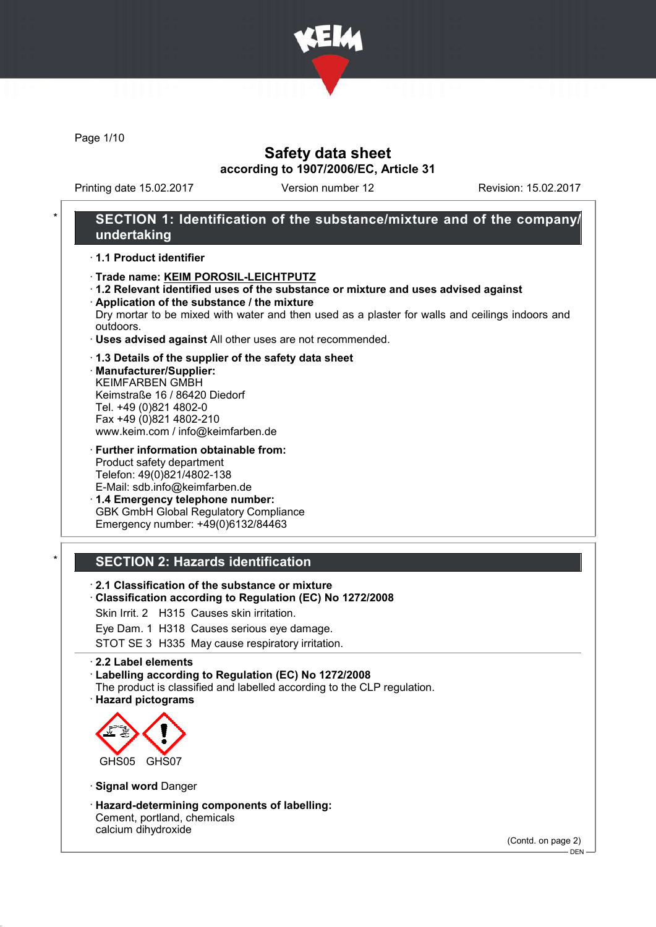

Page 1/10

## Safety data sheet according to 1907/2006/EC, Article 31

Printing date 15.02.2017 Version number 12 Revision: 15.02.2017

## SECTION 1: Identification of the substance/mixture and of the company/ undertaking

### · 1.1 Product identifier

- · Trade name: KEIM POROSIL-LEICHTPUTZ
- · 1.2 Relevant identified uses of the substance or mixture and uses advised against · Application of the substance / the mixture
- Dry mortar to be mixed with water and then used as a plaster for walls and ceilings indoors and outdoors.
- · Uses advised against All other uses are not recommended.

#### · 1.3 Details of the supplier of the safety data sheet

· Manufacturer/Supplier: KEIMFARBEN GMBH Keimstraße 16 / 86420 Diedorf Tel. +49 (0)821 4802-0 Fax +49 (0)821 4802-210 www.keim.com / info@keimfarben.de

- · Further information obtainable from: Product safety department Telefon: 49(0)821/4802-138 E-Mail: sdb.info@keimfarben.de
- · 1.4 Emergency telephone number: GBK GmbH Global Regulatory Compliance Emergency number: +49(0)6132/84463

### **SECTION 2: Hazards identification**

- · 2.1 Classification of the substance or mixture
- · Classification according to Regulation (EC) No 1272/2008
- Skin Irrit. 2 H315 Causes skin irritation.
- Eye Dam. 1 H318 Causes serious eye damage.
- STOT SE 3 H335 May cause respiratory irritation.

#### · 2.2 Label elements

· Labelling according to Regulation (EC) No 1272/2008

- The product is classified and labelled according to the CLP regulation.
- · Hazard pictograms



- · Signal word Danger
- · Hazard-determining components of labelling: Cement, portland, chemicals calcium dihydroxide

(Contd. on page 2)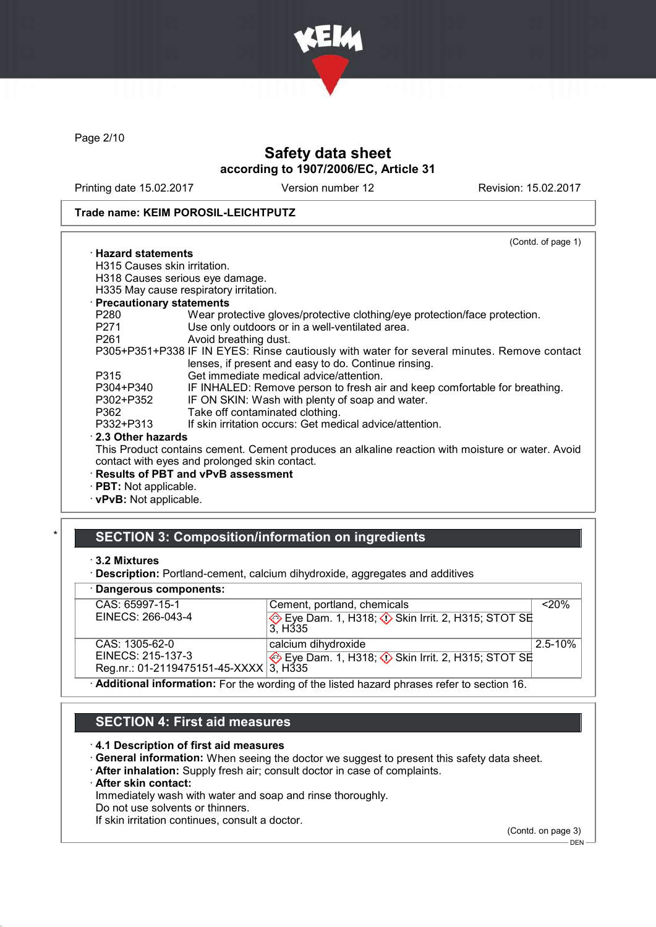

Page 2/10

# Safety data sheet according to 1907/2006/EC, Article 31

Printing date 15.02.2017 Version number 12 Revision: 15.02.2017

#### Trade name: KEIM POROSIL-LEICHTPUTZ

|                                 | (Contd. of page 1)                                                                               |
|---------------------------------|--------------------------------------------------------------------------------------------------|
| $\cdot$ Hazard statements       |                                                                                                  |
| H315 Causes skin irritation.    |                                                                                                  |
|                                 | H318 Causes serious eye damage.                                                                  |
|                                 | H335 May cause respiratory irritation.                                                           |
| <b>Precautionary statements</b> |                                                                                                  |
| P280                            | Wear protective gloves/protective clothing/eye protection/face protection.                       |
| P271                            | Use only outdoors or in a well-ventilated area.                                                  |
| P261 <b>P26</b>                 | Avoid breathing dust.                                                                            |
|                                 | P305+P351+P338 IF IN EYES: Rinse cautiously with water for several minutes. Remove contact       |
|                                 | lenses, if present and easy to do. Continue rinsing.                                             |
| P315                            | Get immediate medical advice/attention.                                                          |
| P304+P340                       | IF INHALED: Remove person to fresh air and keep comfortable for breathing.                       |
| P302+P352                       | IF ON SKIN: Wash with plenty of soap and water.                                                  |
| P362                            | Take off contaminated clothing.                                                                  |
| P332+P313                       | If skin irritation occurs: Get medical advice/attention.                                         |
| 2.3 Other hazards               |                                                                                                  |
|                                 | This Product contains cement. Cement produces an alkaline reaction with moisture or water. Avoid |
|                                 | contact with eyes and prolonged skin contact.                                                    |
|                                 | · Results of PBT and vPvB assessment                                                             |
| <b>PBT:</b> Not applicable.     |                                                                                                  |
| $\cdot$ vPvB: Not applicable.   |                                                                                                  |

## SECTION 3: Composition/information on ingredients

### · Dangerous components:

| CAS: 65997-15-1                                                                          | Cement, portland, chemicals                                                      | $<$ 20%     |  |  |
|------------------------------------------------------------------------------------------|----------------------------------------------------------------------------------|-------------|--|--|
| EINECS: 266-043-4                                                                        | Eye Dam. 1, H318; $\Diamond$ Skin Irrit. 2, H315; STOT SE<br>3. H <sub>335</sub> |             |  |  |
| CAS: 1305-62-0                                                                           | calcium dihydroxide                                                              | $2.5 - 10%$ |  |  |
| EINECS: 215-137-3                                                                        | Eye Dam. 1, H318; $\Diamond$ Skin Irrit. 2, H315; STOT SE                        |             |  |  |
| Reg.nr.: 01-2119475151-45-XXXX 3, H335                                                   |                                                                                  |             |  |  |
| Additional information: For the wording of the listed hazard phrases refer to section 16 |                                                                                  |             |  |  |

· Additional information: For the wording of the listed hazard phrases refer to section 16.

# SECTION 4: First aid measures

#### · 4.1 Description of first aid measures

- · General information: When seeing the doctor we suggest to present this safety data sheet.
- · After inhalation: Supply fresh air; consult doctor in case of complaints.
- · After skin contact:

Immediately wash with water and soap and rinse thoroughly.

Do not use solvents or thinners.

If skin irritation continues, consult a doctor.

(Contd. on page 3)  $-$  DEN -

<sup>·</sup> 3.2 Mixtures

<sup>·</sup> Description: Portland-cement, calcium dihydroxide, aggregates and additives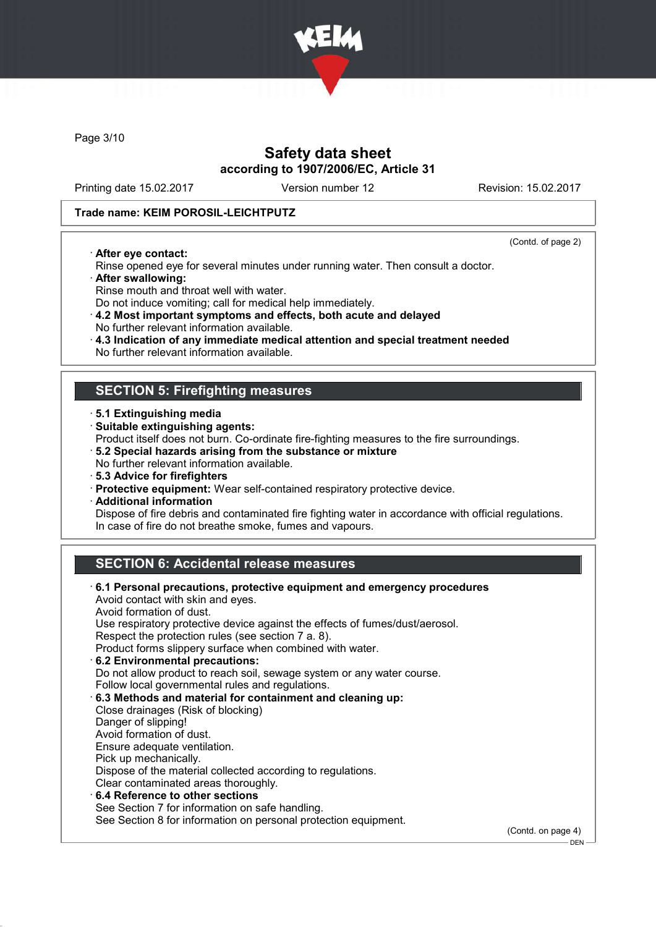

Page 3/10

## Safety data sheet according to 1907/2006/EC, Article 31

Printing date 15.02.2017 Version number 12 Revision: 15.02.2017

(Contd. of page 2)

.<br>– DEN -

### Trade name: KEIM POROSIL-LEICHTPUTZ

· After eye contact:

Rinse opened eye for several minutes under running water. Then consult a doctor.

- · After swallowing:
- Rinse mouth and throat well with water.
- Do not induce vomiting; call for medical help immediately.

· 4.2 Most important symptoms and effects, both acute and delayed No further relevant information available.

- · 4.3 Indication of any immediate medical attention and special treatment needed
- No further relevant information available.

### SECTION 5: Firefighting measures

- · 5.1 Extinguishing media
- · Suitable extinguishing agents:
- Product itself does not burn. Co-ordinate fire-fighting measures to the fire surroundings.
- · 5.2 Special hazards arising from the substance or mixture
- No further relevant information available.
- · 5.3 Advice for firefighters
- · Protective equipment: Wear self-contained respiratory protective device.
- · Additional information

Dispose of fire debris and contaminated fire fighting water in accordance with official regulations. In case of fire do not breathe smoke, fumes and vapours.

# SECTION 6: Accidental release measures

| 6.1 Personal precautions, protective equipment and emergency procedures<br>Avoid contact with skin and eyes. |                    |
|--------------------------------------------------------------------------------------------------------------|--------------------|
| Avoid formation of dust.                                                                                     |                    |
| Use respiratory protective device against the effects of fumes/dust/aerosol.                                 |                    |
| Respect the protection rules (see section 7 a. 8).                                                           |                    |
| Product forms slippery surface when combined with water.                                                     |                    |
| 6.2 Environmental precautions:                                                                               |                    |
| Do not allow product to reach soil, sewage system or any water course.                                       |                    |
| Follow local governmental rules and regulations.                                                             |                    |
| 6.3 Methods and material for containment and cleaning up:                                                    |                    |
| Close drainages (Risk of blocking)                                                                           |                    |
| Danger of slipping!                                                                                          |                    |
| Avoid formation of dust.                                                                                     |                    |
| Ensure adequate ventilation.                                                                                 |                    |
| Pick up mechanically.                                                                                        |                    |
| Dispose of the material collected according to regulations.                                                  |                    |
| Clear contaminated areas thoroughly.                                                                         |                    |
| $\cdot$ 6.4 Reference to other sections                                                                      |                    |
| See Section 7 for information on safe handling.                                                              |                    |
| See Section 8 for information on personal protection equipment.                                              |                    |
|                                                                                                              | (Contd. on page 4) |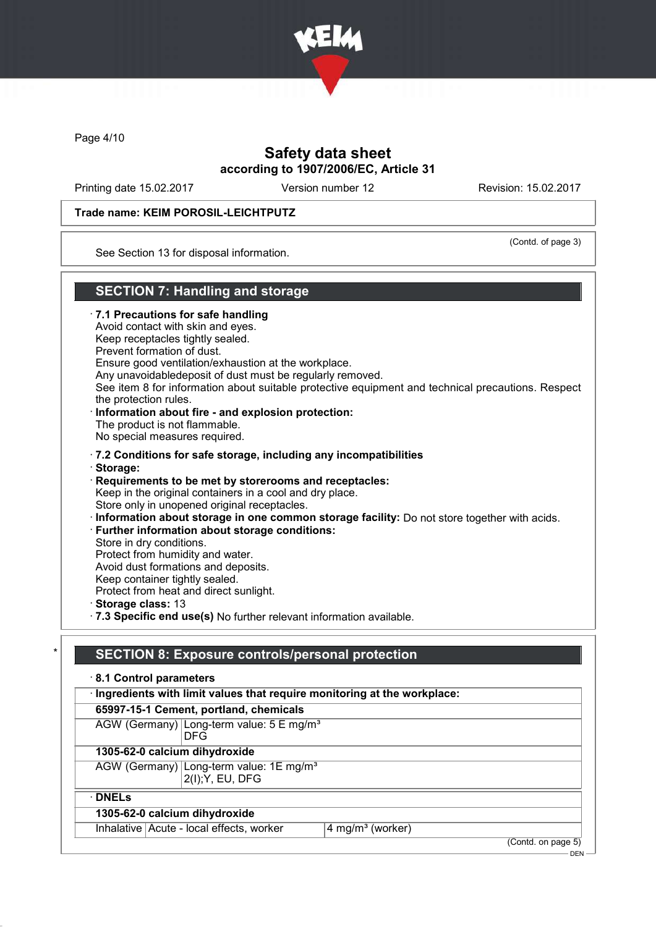

Page 4/10

## Safety data sheet according to 1907/2006/EC, Article 31

Printing date 15.02.2017 Version number 12 Revision: 15.02.2017

### Trade name: KEIM POROSIL-LEICHTPUTZ

(Contd. of page 3)

See Section 13 for disposal information.

## SECTION 7: Handling and storage

· 7.1 Precautions for safe handling Avoid contact with skin and eyes. Keep receptacles tightly sealed. Prevent formation of dust. Ensure good ventilation/exhaustion at the workplace. Any unavoidabledeposit of dust must be regularly removed. See item 8 for information about suitable protective equipment and technical precautions. Respect the protection rules. · Information about fire - and explosion protection: The product is not flammable. No special measures required. · 7.2 Conditions for safe storage, including any incompatibilities · Storage: · Requirements to be met by storerooms and receptacles: Keep in the original containers in a cool and dry place. Store only in unopened original receptacles. · Information about storage in one common storage facility: Do not store together with acids. · Further information about storage conditions: Store in dry conditions. Protect from humidity and water. Avoid dust formations and deposits. Keep container tightly sealed. Protect from heat and direct sunlight. · Storage class: 13 · 7.3 Specific end use(s) No further relevant information available.

## SECTION 8: Exposure controls/personal protection

| 8.1 Control parameters                                                    |                              |  |  |  |
|---------------------------------------------------------------------------|------------------------------|--|--|--|
| · Ingredients with limit values that require monitoring at the workplace: |                              |  |  |  |
| 65997-15-1 Cement, portland, chemicals                                    |                              |  |  |  |
| AGW (Germany) Long-term value: 5 E mg/m <sup>3</sup><br><b>DFG</b>        |                              |  |  |  |
| 1305-62-0 calcium dihydroxide                                             |                              |  |  |  |
| AGW (Germany) Long-term value: 1E mg/m <sup>3</sup><br>2(I); Y, EU, DFG   |                              |  |  |  |
| $\cdot$ DNELs                                                             |                              |  |  |  |
| 1305-62-0 calcium dihydroxide                                             |                              |  |  |  |
| Inhalative   Acute - local effects, worker                                | 4 mg/m <sup>3</sup> (worker) |  |  |  |
|                                                                           | (Contd. on page 5)           |  |  |  |

 $-$  DEN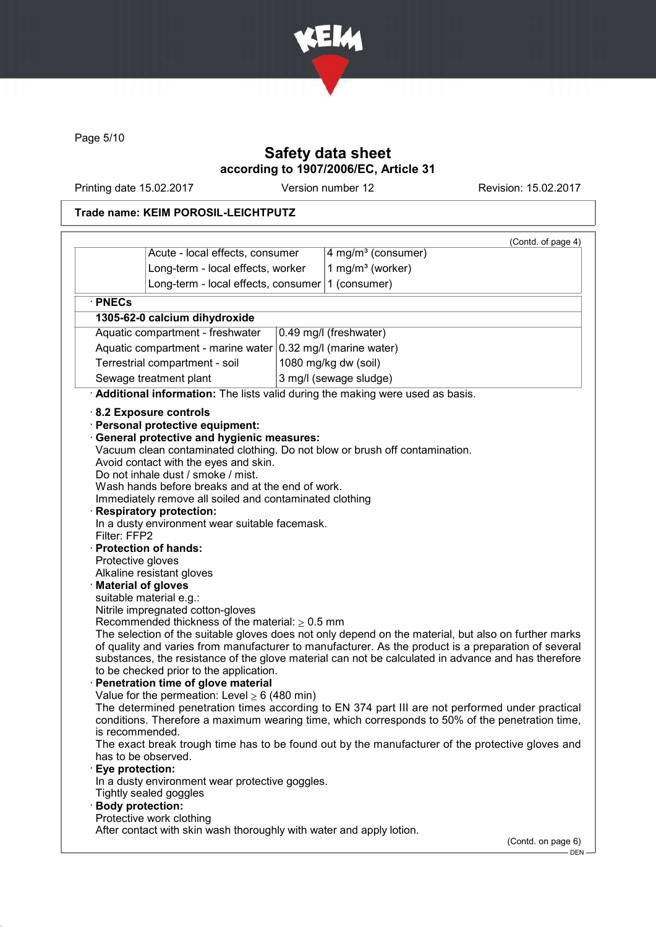

Page 5/10

# Safety data sheet according to 1907/2006/EC, Article 31

Printing date 15.02.2017 Version number 12 Revision: 15.02.2017

## Trade name: KEIM POROSIL-LEICHTPUTZ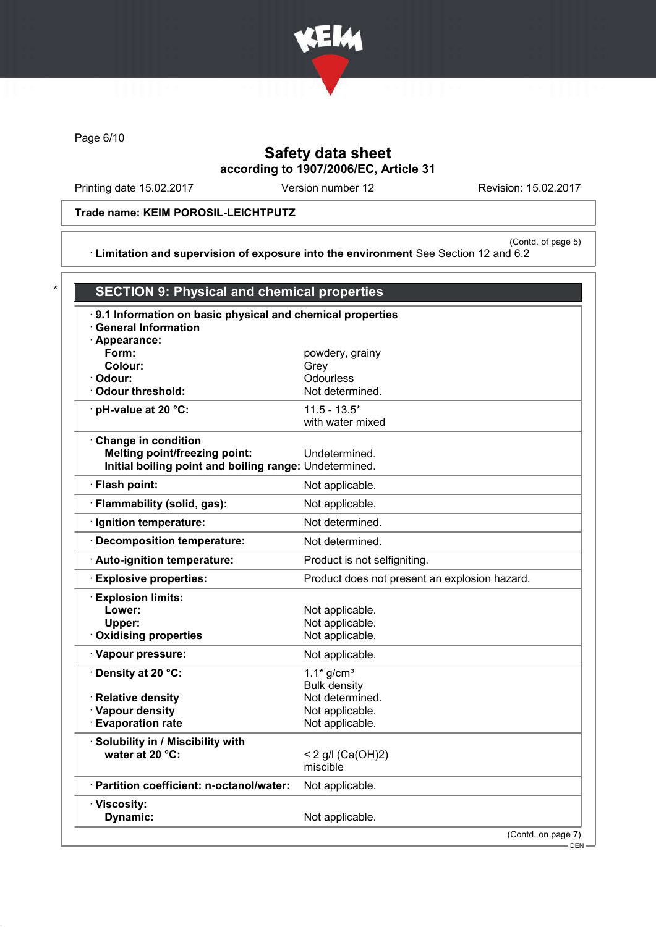

Page 6/10

# Safety data sheet according to 1907/2006/EC, Article 31

Printing date 15.02.2017 Version number 12 Revision: 15.02.2017

Trade name: KEIM POROSIL-LEICHTPUTZ

(Contd. of page 5) · Limitation and supervision of exposure into the environment See Section 12 and 6.2

| 9.1 Information on basic physical and chemical properties                                      |                                               |
|------------------------------------------------------------------------------------------------|-----------------------------------------------|
| <b>General Information</b>                                                                     |                                               |
| · Appearance:<br>Form:                                                                         | powdery, grainy                               |
| Colour:                                                                                        | Grey                                          |
| · Odour:                                                                                       | Odourless                                     |
| Odour threshold:                                                                               | Not determined.                               |
| · pH-value at 20 °C:                                                                           | $11.5 - 13.5*$                                |
|                                                                                                | with water mixed                              |
| Change in condition                                                                            |                                               |
| <b>Melting point/freezing point:</b><br>Initial boiling point and boiling range: Undetermined. | Undetermined.                                 |
|                                                                                                |                                               |
| · Flash point:                                                                                 | Not applicable.                               |
| · Flammability (solid, gas):                                                                   | Not applicable.                               |
| · Ignition temperature:                                                                        | Not determined.                               |
| · Decomposition temperature:                                                                   | Not determined.                               |
| · Auto-ignition temperature:                                                                   | Product is not selfigniting.                  |
| <b>Explosive properties:</b>                                                                   | Product does not present an explosion hazard. |
| <b>Explosion limits:</b>                                                                       |                                               |
| Lower:                                                                                         | Not applicable.                               |
| Upper:                                                                                         | Not applicable.                               |
| <b>Oxidising properties</b>                                                                    | Not applicable.                               |
| · Vapour pressure:                                                                             | Not applicable.                               |
| Density at 20 °C:                                                                              | $1.1*$ g/cm <sup>3</sup>                      |
|                                                                                                | <b>Bulk density</b>                           |
| · Relative density                                                                             | Not determined.                               |
| · Vapour density                                                                               | Not applicable.                               |
| <b>Evaporation rate</b>                                                                        | Not applicable.                               |
| Solubility in / Miscibility with                                                               |                                               |
| water at 20 °C:                                                                                | < 2 g/l $(Ca(OH)2)$                           |
|                                                                                                | miscible                                      |
| · Partition coefficient: n-octanol/water:                                                      | Not applicable.                               |
| · Viscosity:                                                                                   |                                               |
| Dynamic:                                                                                       | Not applicable.                               |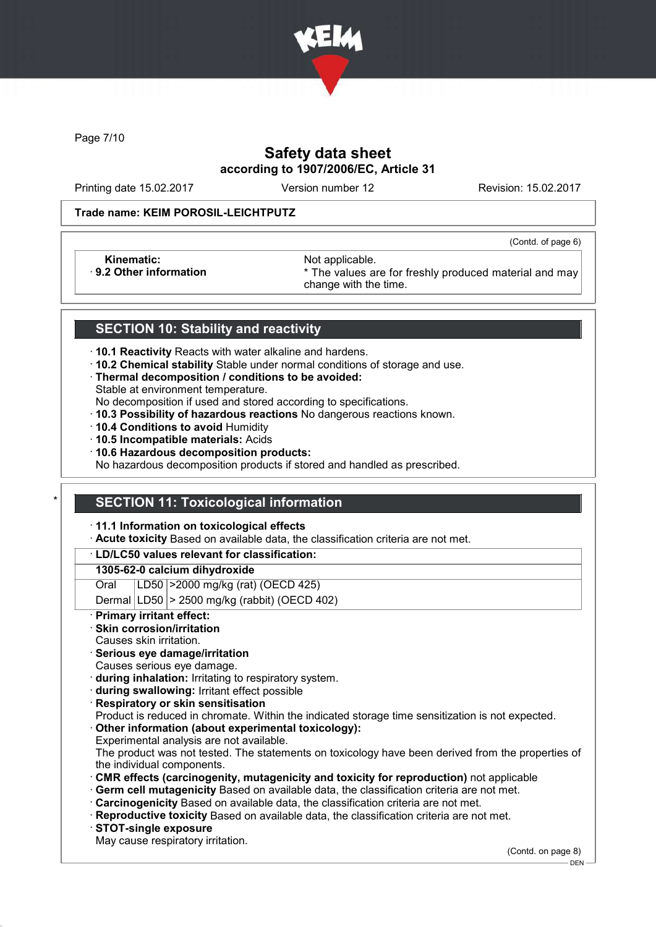

Page 7/10

# Safety data sheet according to 1907/2006/EC, Article 31

Printing date 15.02.2017 Version number 12 Revision: 15.02.2017

(Contd. of page 6)

#### Trade name: KEIM POROSIL-LEICHTPUTZ

Kinematic: Not applicable.<br>
9.2 Other information **Accord 1989** The values are

\* The values are for freshly produced material and may change with the time.

### SECTION 10: Stability and reactivity

- · 10.1 Reactivity Reacts with water alkaline and hardens.
- · 10.2 Chemical stability Stable under normal conditions of storage and use.
- · Thermal decomposition / conditions to be avoided:
- Stable at environment temperature.
- No decomposition if used and stored according to specifications.
- · 10.3 Possibility of hazardous reactions No dangerous reactions known.
- · 10.4 Conditions to avoid Humidity
- · 10.5 Incompatible materials: Acids
- · 10.6 Hazardous decomposition products:
- No hazardous decomposition products if stored and handled as prescribed.

### **SECTION 11: Toxicological information**

- · 11.1 Information on toxicological effects
- · Acute toxicity Based on available data, the classification criteria are not met.

#### · LD/LC50 values relevant for classification:

#### 1305-62-0 calcium dihydroxide

Oral LD50 >2000 mg/kg (rat) (OECD 425)

Dermal  $|LD50|$  > 2500 mg/kg (rabbit) (OECD 402)

Primary irritant effect:

### Skin corrosion/irritation

- Causes skin irritation.
- · Serious eye damage/irritation
- Causes serious eye damage.
- · during inhalation: Irritating to respiratory system.
- · during swallowing: Irritant effect possible
- **Respiratory or skin sensitisation**
- Product is reduced in chromate. Within the indicated storage time sensitization is not expected.
- Other information (about experimental toxicology):
- Experimental analysis are not available.
- The product was not tested. The statements on toxicology have been derived from the properties of the individual components.
- · CMR effects (carcinogenity, mutagenicity and toxicity for reproduction) not applicable
- Germ cell mutagenicity Based on available data, the classification criteria are not met.
- · Carcinogenicity Based on available data, the classification criteria are not met.
- · Reproductive toxicity Based on available data, the classification criteria are not met.
- · STOT-single exposure
- May cause respiratory irritation.

(Contd. on page 8)

DEN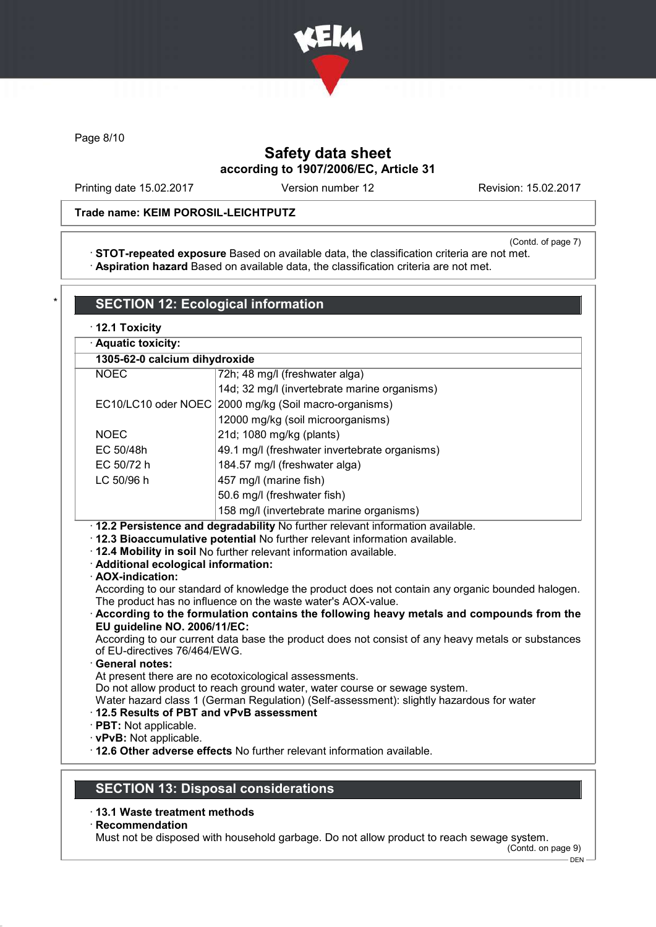

Page 8/10

# Safety data sheet according to 1907/2006/EC, Article 31

Printing date 15.02.2017 Version number 12 Revision: 15.02.2017

### Trade name: KEIM POROSIL-LEICHTPUTZ

(Contd. of page 7)

· STOT-repeated exposure Based on available data, the classification criteria are not met. · Aspiration hazard Based on available data, the classification criteria are not met.

|                                                                                                                                              | · Aquatic toxicity:                                                                                                                                                                                                                                                                                                                                                                                                                                                                                                                                                                                 |  |  |
|----------------------------------------------------------------------------------------------------------------------------------------------|-----------------------------------------------------------------------------------------------------------------------------------------------------------------------------------------------------------------------------------------------------------------------------------------------------------------------------------------------------------------------------------------------------------------------------------------------------------------------------------------------------------------------------------------------------------------------------------------------------|--|--|
| 1305-62-0 calcium dihydroxide                                                                                                                |                                                                                                                                                                                                                                                                                                                                                                                                                                                                                                                                                                                                     |  |  |
| <b>NOEC</b>                                                                                                                                  | 72h; 48 mg/l (freshwater alga)                                                                                                                                                                                                                                                                                                                                                                                                                                                                                                                                                                      |  |  |
|                                                                                                                                              | 14d; 32 mg/l (invertebrate marine organisms)                                                                                                                                                                                                                                                                                                                                                                                                                                                                                                                                                        |  |  |
| EC10/LC10 oder NOEC                                                                                                                          | 2000 mg/kg (Soil macro-organisms)                                                                                                                                                                                                                                                                                                                                                                                                                                                                                                                                                                   |  |  |
|                                                                                                                                              | 12000 mg/kg (soil microorganisms)                                                                                                                                                                                                                                                                                                                                                                                                                                                                                                                                                                   |  |  |
| <b>NOEC</b>                                                                                                                                  | 21d; 1080 mg/kg (plants)                                                                                                                                                                                                                                                                                                                                                                                                                                                                                                                                                                            |  |  |
| EC 50/48h                                                                                                                                    | 49.1 mg/l (freshwater invertebrate organisms)                                                                                                                                                                                                                                                                                                                                                                                                                                                                                                                                                       |  |  |
| EC 50/72 h                                                                                                                                   | 184.57 mg/l (freshwater alga)                                                                                                                                                                                                                                                                                                                                                                                                                                                                                                                                                                       |  |  |
| LC 50/96 h                                                                                                                                   | 457 mg/l (marine fish)                                                                                                                                                                                                                                                                                                                                                                                                                                                                                                                                                                              |  |  |
|                                                                                                                                              | 50.6 mg/l (freshwater fish)                                                                                                                                                                                                                                                                                                                                                                                                                                                                                                                                                                         |  |  |
|                                                                                                                                              | 158 mg/l (invertebrate marine organisms)                                                                                                                                                                                                                                                                                                                                                                                                                                                                                                                                                            |  |  |
| · 12.2 Persistence and degradability No further relevant information available.<br>· Additional ecological information:<br>· AOX-indication: | · 12.3 Bioaccumulative potential No further relevant information available.<br>· 12.4 Mobility in soil No further relevant information available.                                                                                                                                                                                                                                                                                                                                                                                                                                                   |  |  |
| EU guideline NO. 2006/11/EC:<br>of EU-directives 76/464/EWG.<br>· General notes:                                                             | According to our standard of knowledge the product does not contain any organic bounded halogen.<br>The product has no influence on the waste water's AOX-value.<br>According to the formulation contains the following heavy metals and compounds from the<br>According to our current data base the product does not consist of any heavy metals or substances<br>At present there are no ecotoxicological assessments.<br>Do not allow product to reach ground water, water course or sewage system.<br>Water hazard class 1 (German Regulation) (Self-assessment): slightly hazardous for water |  |  |

- · 13.1 Waste treatment methods
- · Recommendation

Must not be disposed with household garbage. Do not allow product to reach sewage system.

(Contd. on page 9)  $-$  DEN  $-$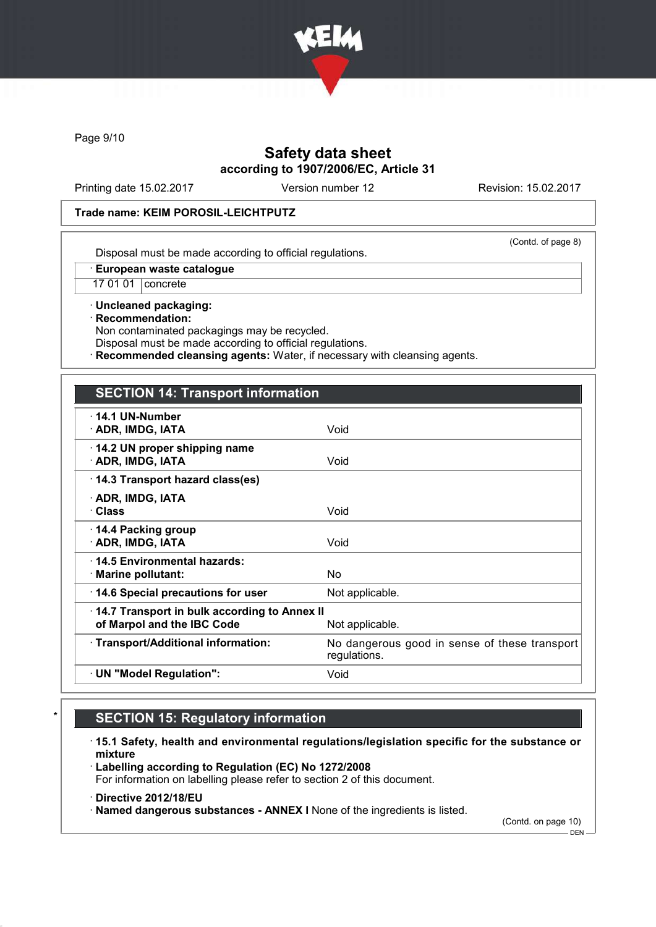

Page 9/10

## Safety data sheet according to 1907/2006/EC, Article 31

Printing date 15.02.2017 Version number 12 Revision: 15.02.2017

#### Trade name: KEIM POROSIL-LEICHTPUTZ

(Contd. of page 8)

Disposal must be made according to official regulations.

· European waste catalogue

17 01 01 concrete

· Uncleaned packaging: · Recommendation: Non contaminated packagings may be recycled.

Disposal must be made according to official regulations.

Recommended cleansing agents: Water, if necessary with cleansing agents.

### SECTION 14: Transport information

| $\cdot$ 14.1 UN-Number<br>· ADR, IMDG, IATA                                                   | Void                                                          |  |
|-----------------------------------------------------------------------------------------------|---------------------------------------------------------------|--|
| 14.2 UN proper shipping name<br>· ADR, IMDG, IATA                                             | Void                                                          |  |
| 14.3 Transport hazard class(es)                                                               |                                                               |  |
| · ADR, IMDG, IATA<br>· Class                                                                  | Void                                                          |  |
| 14.4 Packing group<br>· ADR, IMDG, IATA                                                       | Void                                                          |  |
| ⋅14.5 Environmental hazards:<br>$\cdot$ Marine pollutant:                                     | No.                                                           |  |
| 14.6 Special precautions for user                                                             | Not applicable.                                               |  |
| 14.7 Transport in bulk according to Annex II<br>of Marpol and the IBC Code<br>Not applicable. |                                                               |  |
| · Transport/Additional information:                                                           | No dangerous good in sense of these transport<br>regulations. |  |
| · UN "Model Regulation":                                                                      | Void                                                          |  |

# **SECTION 15: Regulatory information**

· 15.1 Safety, health and environmental regulations/legislation specific for the substance or mixture

· Labelling according to Regulation (EC) No 1272/2008 For information on labelling please refer to section 2 of this document.

· Directive 2012/18/EU

· Named dangerous substances - ANNEX I None of the ingredients is listed.

(Contd. on page 10)

 $-$  DEN